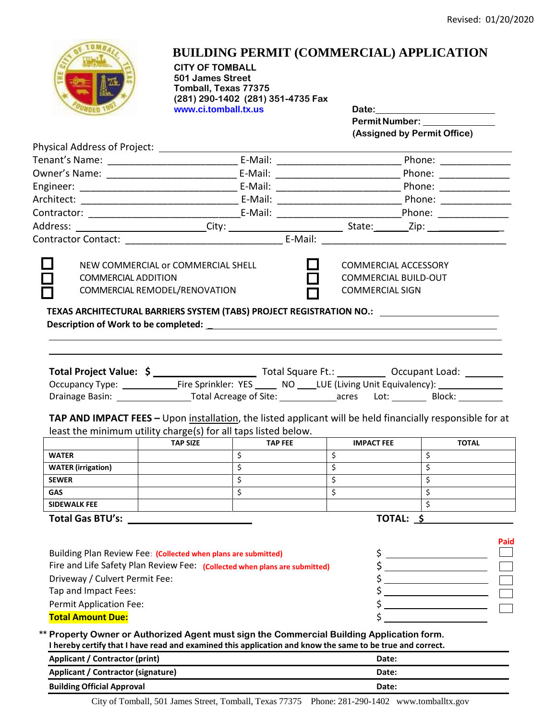

## **BUILDING PERMIT (COMMERCIAL) APPLICATION**

**CITY OF TOMBALL 501 James Street Tomball, Texas 77375 (281) 290-1402 (281) 351-4735 Fax www.ci.tomball.tx.us Date:**

**PermitNumber: (Assigned by Permit Office)**

| Physical Address of Project: _________________                                                                                                                                                                                                                                                                                                                                                                                                                                 |                 |                         |                                                                                      |                                                                                                                                |  |
|--------------------------------------------------------------------------------------------------------------------------------------------------------------------------------------------------------------------------------------------------------------------------------------------------------------------------------------------------------------------------------------------------------------------------------------------------------------------------------|-----------------|-------------------------|--------------------------------------------------------------------------------------|--------------------------------------------------------------------------------------------------------------------------------|--|
|                                                                                                                                                                                                                                                                                                                                                                                                                                                                                |                 |                         |                                                                                      |                                                                                                                                |  |
|                                                                                                                                                                                                                                                                                                                                                                                                                                                                                |                 |                         |                                                                                      |                                                                                                                                |  |
|                                                                                                                                                                                                                                                                                                                                                                                                                                                                                |                 |                         |                                                                                      |                                                                                                                                |  |
|                                                                                                                                                                                                                                                                                                                                                                                                                                                                                |                 |                         |                                                                                      |                                                                                                                                |  |
|                                                                                                                                                                                                                                                                                                                                                                                                                                                                                |                 |                         |                                                                                      |                                                                                                                                |  |
|                                                                                                                                                                                                                                                                                                                                                                                                                                                                                |                 |                         |                                                                                      |                                                                                                                                |  |
|                                                                                                                                                                                                                                                                                                                                                                                                                                                                                |                 |                         |                                                                                      |                                                                                                                                |  |
| NEW COMMERCIAL or COMMERCIAL SHELL<br><b>COMMERCIAL ADDITION</b><br>COMMERCIAL REMODEL/RENOVATION<br>TEXAS ARCHITECTURAL BARRIERS SYSTEM (TABS) PROJECT REGISTRATION NO.: ____________                                                                                                                                                                                                                                                                                         |                 |                         | <b>COMMERCIAL ACCESSORY</b><br><b>COMMERCIAL BUILD-OUT</b><br><b>COMMERCIAL SIGN</b> |                                                                                                                                |  |
|                                                                                                                                                                                                                                                                                                                                                                                                                                                                                |                 |                         |                                                                                      | Drainage Basin: _______________________Total Acreage of Site: _____________acres Lot: _____________ Block: __________          |  |
| least the minimum utility charge(s) for all taps listed below.                                                                                                                                                                                                                                                                                                                                                                                                                 |                 |                         |                                                                                      | TAP AND IMPACT FEES - Upon installation, the listed applicant will be held financially responsible for at                      |  |
|                                                                                                                                                                                                                                                                                                                                                                                                                                                                                | <b>TAP SIZE</b> | <b>TAP FEE</b>          | <b>IMPACT FEE</b>                                                                    | <b>TOTAL</b>                                                                                                                   |  |
| <b>WATER</b>                                                                                                                                                                                                                                                                                                                                                                                                                                                                   |                 | \$                      | Ŝ.                                                                                   | \$                                                                                                                             |  |
| <b>WATER</b> (irrigation)                                                                                                                                                                                                                                                                                                                                                                                                                                                      |                 | $\overline{\mathsf{S}}$ | $\overline{\mathsf{S}}$                                                              | $\overline{\mathsf{S}}$                                                                                                        |  |
| <b>SEWER</b>                                                                                                                                                                                                                                                                                                                                                                                                                                                                   |                 | $\overline{\xi}$        | $\overline{\xi}$                                                                     | $\overline{\mathsf{S}}$                                                                                                        |  |
| <b>GAS</b>                                                                                                                                                                                                                                                                                                                                                                                                                                                                     |                 | $\overline{\mathsf{S}}$ | $\overline{\mathcal{S}}$                                                             | $\overline{\mathsf{S}}$                                                                                                        |  |
| <b>SIDEWALK FEE</b>                                                                                                                                                                                                                                                                                                                                                                                                                                                            |                 |                         |                                                                                      | $\overline{\xi}$                                                                                                               |  |
|                                                                                                                                                                                                                                                                                                                                                                                                                                                                                |                 |                         |                                                                                      | TOTAL: \$                                                                                                                      |  |
| Building Plan Review Fee: (Collected when plans are submitted)<br>Fire and Life Safety Plan Review Fee: (Collected when plans are submitted)<br>Driveway / Culvert Permit Fee:<br>Tap and Impact Fees:<br><b>Permit Application Fee:</b><br><b>Total Amount Due:</b><br>** Property Owner or Authorized Agent must sign the Commercial Building Application form.<br>I hereby certify that I have read and examined this application and know the same to be true and correct. |                 |                         | \$<br>\$<br>\$                                                                       | Paid<br><u> 1980 - Johann Barn, mars ann an t-Aontaithe ann an t-Aontaithe ann an t-Aontaithe ann an t-Aontaithe ann an t-</u> |  |
|                                                                                                                                                                                                                                                                                                                                                                                                                                                                                |                 |                         |                                                                                      |                                                                                                                                |  |
| Applicant / Contractor (print)                                                                                                                                                                                                                                                                                                                                                                                                                                                 |                 |                         | Date:                                                                                |                                                                                                                                |  |

City of Tomball, 501 James Street, Tomball, Texas 77375 Phone: 281-290-1402 [www.tomballtx.gov](http://www.tomballtx.gov/)

**Building Official Approval Date:**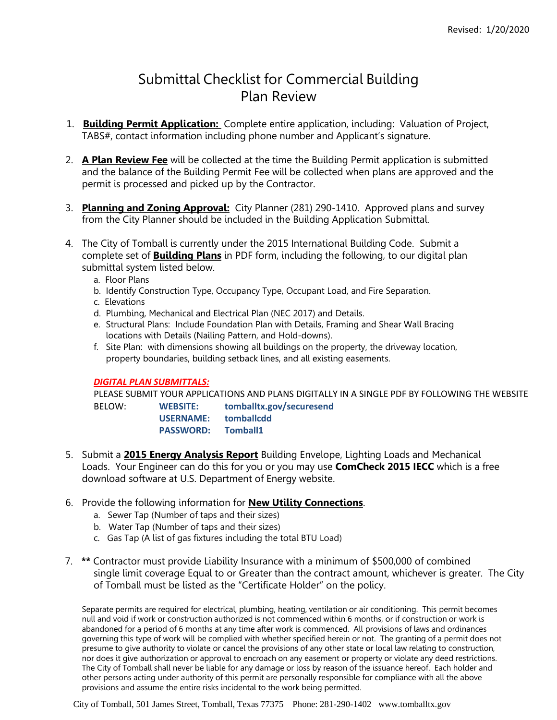## Submittal Checklist for Commercial Building Plan Review

- 1. **Building Permit Application:** Complete entire application, including: Valuation of Project, TABS#, contact information including phone number and Applicant's signature.
- 2. **A Plan Review Fee** will be collected at the time the Building Permit application is submitted and the balance of the Building Permit Fee will be collected when plans are approved and the permit is processed and picked up by the Contractor.
- 3. **Planning and Zoning Approval:** City Planner (281) 290-1410. Approved plans and survey from the City Planner should be included in the Building Application Submittal.
- 4. The City of Tomball is currently under the 2015 International Building Code. Submit a complete set of **Building Plans** in PDF form, including the following, to our digital plan submittal system listed below.
	- a. Floor Plans
	- b. Identify Construction Type, Occupancy Type, Occupant Load, and Fire Separation.
	- c. Elevations
	- d. Plumbing, Mechanical and Electrical Plan (NEC 2017) and Details.
	- e. Structural Plans: Include Foundation Plan with Details, Framing and Shear Wall Bracing locations with Details (Nailing Pattern, and Hold-downs).
	- f. Site Plan: with dimensions showing all buildings on the property, the driveway location, property boundaries, building setback lines, and all existing easements.

## *DIGITAL PLAN SUBMITTALS:*

PLEASE SUBMIT YOUR APPLICATIONS AND PLANS DIGITALLY IN A SINGLE PDF BY FOLLOWING THE WEBSITE BELOW: **WEBSITE: tomballtx.gov/securesend USERNAME: tomballcdd PASSWORD: Tomball1**

- 5. Submit a **2015 Energy Analysis Report** Building Envelope, Lighting Loads and Mechanical Loads. Your Engineer can do this for you or you may use **ComCheck 2015 IECC** which is a free download software at U.S. Department of Energy website.
- 6. Provide the following information for **New Utility Connections**.
	- a. Sewer Tap (Number of taps and their sizes)
	- b. Water Tap (Number of taps and their sizes)
	- c. Gas Tap (A list of gas fixtures including the total BTU Load)
- 7. **\*\*** Contractor must provide Liability Insurance with a minimum of \$500,000 of combined single limit coverage Equal to or Greater than the contract amount, whichever is greater. The City of Tomball must be listed as the "Certificate Holder" on the policy.

Separate permits are required for electrical, plumbing, heating, ventilation or air conditioning. This permit becomes null and void if work or construction authorized is not commenced within 6 months, or if construction or work is abandoned for a period of 6 months at any time after work is commenced. All provisions of laws and ordinances governing this type of work will be complied with whether specified herein or not. The granting of a permit does not presume to give authority to violate or cancel the provisions of any other state or local law relating to construction, nor does it give authorization or approval to encroach on any easement or property or violate any deed restrictions. The City of Tomball shall never be liable for any damage or loss by reason of the issuance hereof. Each holder and other persons acting under authority of this permit are personally responsible for compliance with all the above provisions and assume the entire risks incidental to the work being permitted.

City of Tomball, 501 James Street, Tomball, Texas 77375 Phone: 281-290-1402 [www.tomballtx.gov](http://www.tomballtx.gov/)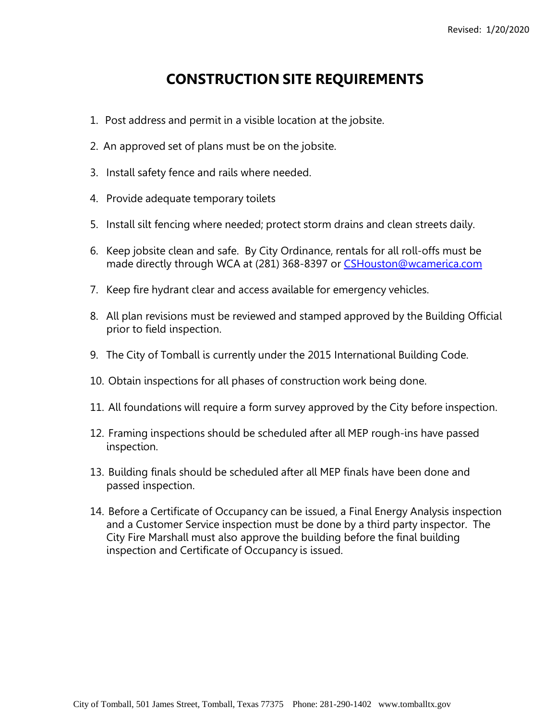## **CONSTRUCTION SITE REQUIREMENTS**

- 1. Post address and permit in a visible location at the jobsite.
- 2. An approved set of plans must be on the jobsite.
- 3. Install safety fence and rails where needed.
- 4. Provide adequate temporary toilets
- 5. Install silt fencing where needed; protect storm drains and clean streets daily.
- 6. Keep jobsite clean and safe. By City Ordinance, rentals for all roll-offs must be made directly through WCA at (281) 368-8397 or [CSHouston@wcamerica.com](mailto:CSHouston@wcamerica.com)
- 7. Keep fire hydrant clear and access available for emergency vehicles.
- 8. All plan revisions must be reviewed and stamped approved by the Building Official prior to field inspection.
- 9. The City of Tomball is currently under the 2015 International Building Code.
- 10. Obtain inspections for all phases of construction work being done.
- 11. All foundations will require a form survey approved by the City before inspection.
- 12. Framing inspections should be scheduled after all MEP rough-ins have passed inspection.
- 13. Building finals should be scheduled after all MEP finals have been done and passed inspection.
- 14. Before a Certificate of Occupancy can be issued, a Final Energy Analysis inspection and a Customer Service inspection must be done by a third party inspector. The City Fire Marshall must also approve the building before the final building inspection and Certificate of Occupancy is issued.